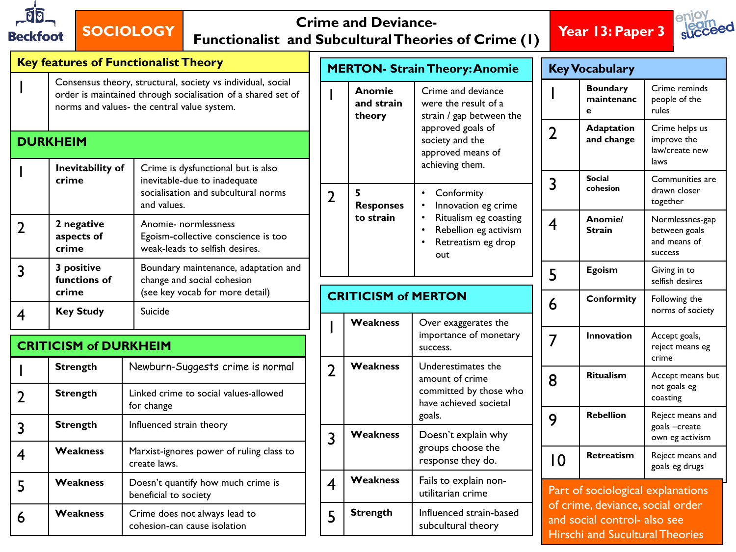

## **SOCIOLOGY Crime and Deviance-Functionalist and Subcultural Theories of Crime (1) Year 13: Paper 3**





| <b>Key features of Functionalist Theory</b> |                                                                                                                                                                            |                                                                                                                          |  | <b>MERTON- Strain Theory: Anomie</b> |                                                                                                          |                                                                                                                                                  | <b>Key Vocabulary</b>                                            |                                    |                                                             |  |
|---------------------------------------------|----------------------------------------------------------------------------------------------------------------------------------------------------------------------------|--------------------------------------------------------------------------------------------------------------------------|--|--------------------------------------|----------------------------------------------------------------------------------------------------------|--------------------------------------------------------------------------------------------------------------------------------------------------|------------------------------------------------------------------|------------------------------------|-------------------------------------------------------------|--|
|                                             | Consensus theory, structural, society vs individual, social<br>order is maintained through socialisation of a shared set of<br>norms and values- the central value system. |                                                                                                                          |  |                                      | Crime and deviance<br>Anomie<br>and strain<br>were the result of a<br>strain / gap between the<br>theory |                                                                                                                                                  |                                                                  | <b>Boundary</b><br>maintenanc<br>e | Crime reminds<br>people of the<br>rules                     |  |
| <b>DURKHEIM</b>                             |                                                                                                                                                                            |                                                                                                                          |  |                                      |                                                                                                          | approved goals of<br>society and the<br>approved means of                                                                                        | $\overline{2}$                                                   | <b>Adaptation</b><br>and change    | Crime helps us<br>improve the<br>law/create new<br>laws     |  |
|                                             | Inevitability of<br>crime                                                                                                                                                  | Crime is dysfunctional but is also<br>inevitable-due to inadequate<br>socialisation and subcultural norms<br>and values. |  | $\overline{2}$                       | 5<br><b>Responses</b><br>to strain                                                                       | achieving them.<br>Conformity<br>Innovation eg crime<br>Ritualism eg coasting<br>Rebellion eg activism<br>$\bullet$<br>Retreatism eg drop<br>out | 3                                                                | <b>Social</b><br>cohesion          | Communities are<br>drawn closer<br>together                 |  |
| $\overline{2}$                              | 2 negative<br>aspects of<br>crime                                                                                                                                          | Anomie- normlessness<br>Egoism-collective conscience is too<br>weak-leads to selfish desires.                            |  |                                      |                                                                                                          |                                                                                                                                                  | $\overline{4}$                                                   | Anomie/<br><b>Strain</b>           | Normlessnes-gap<br>between goals<br>and means of<br>success |  |
| 3                                           | 3 positive<br>functions of<br>crime                                                                                                                                        | Boundary maintenance, adaptation and<br>change and social cohesion<br>(see key vocab for more detail)                    |  |                                      |                                                                                                          |                                                                                                                                                  | 5                                                                | <b>Egoism</b>                      | Giving in to<br>selfish desires                             |  |
| $\overline{\mathbf{4}}$                     | <b>Key Study</b>                                                                                                                                                           | Suicide                                                                                                                  |  | <b>CRITICISM of MERTON</b>           |                                                                                                          |                                                                                                                                                  | 6                                                                | Conformity                         | Following the<br>norms of society                           |  |
| <b>CRITICISM of DURKHEIM</b>                |                                                                                                                                                                            |                                                                                                                          |  |                                      | Over exaggerates the<br>Weakness<br>importance of monetary<br>success.                                   |                                                                                                                                                  | $\overline{7}$                                                   | Innovation                         | Accept goals,<br>reject means eg                            |  |
|                                             | <b>Strength</b>                                                                                                                                                            | Newburn-Suggests crime is normal                                                                                         |  | $\overline{2}$<br>$\overline{3}$     | Weakness<br>goals.<br>Weakness                                                                           | Underestimates the<br>amount of crime<br>committed by those who<br>have achieved societal                                                        | 8                                                                | Ritualism                          | crime<br>Accept means but                                   |  |
| $\overline{2}$                              | <b>Strength</b>                                                                                                                                                            | Linked crime to social values-allowed<br>for change                                                                      |  |                                      |                                                                                                          |                                                                                                                                                  |                                                                  |                                    | not goals eg<br>coasting                                    |  |
| 3                                           | <b>Strength</b>                                                                                                                                                            | Influenced strain theory                                                                                                 |  |                                      |                                                                                                          | Doesn't explain why                                                                                                                              | 9                                                                | <b>Rebellion</b>                   | Reject means and<br>goals -create                           |  |
| $\overline{\mathbf{4}}$                     | <b>Weakness</b>                                                                                                                                                            | Marxist-ignores power of ruling class to<br>create laws.                                                                 |  |                                      |                                                                                                          | groups choose the<br>response they do.                                                                                                           | $\overline{0}$                                                   | Retreatism                         | own eg activism<br>Reject means and<br>goals eg drugs       |  |
| 5                                           | <b>Weakness</b>                                                                                                                                                            | Doesn't quantify how much crime is<br>beneficial to society                                                              |  | <b>Weakness</b><br>$\overline{4}$    |                                                                                                          | Fails to explain non-<br>utilitarian crime                                                                                                       | Part of sociological explanations                                |                                    |                                                             |  |
| 6                                           | <b>Weakness</b>                                                                                                                                                            | Crime does not always lead to                                                                                            |  | 5                                    | <b>Strength</b>                                                                                          | Influenced strain-based                                                                                                                          | of crime, deviance, social order<br>and social control- also see |                                    |                                                             |  |

cohesion-can cause isolation

subcultural theory

and social control- also see Hirschi and Sucultural Theories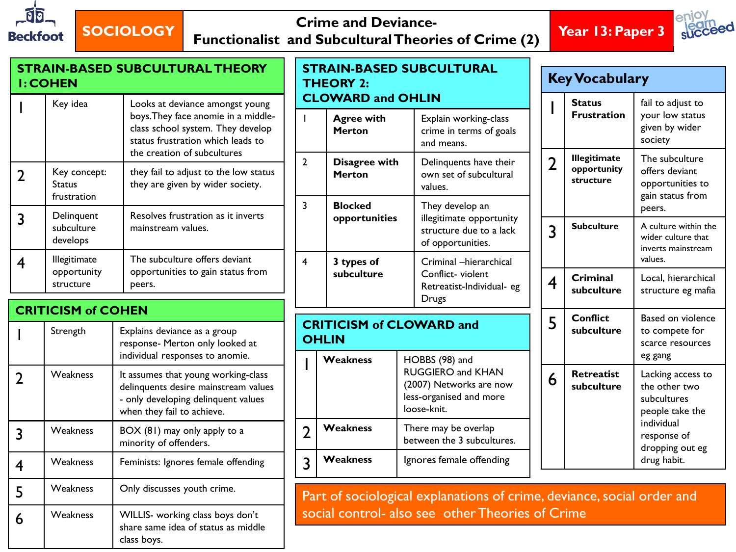

## **SOCIOLOGY Crime and Deviance-**

**Functionalist and Subcultural Theories of Crime (2) Year 13: Paper 3**





| <b>STRAIN-BASED SUBCULTURAL THEORY</b><br><b>I: COHEN</b> |                                              |                                                                                                                                                  | <b>THEORY 2:</b> | <b>STRAIN-BASED SUBCULTURAL</b>                                | <b>Key Vocabulary</b>                                                                                    |                         |                                                 |                                                                            |
|-----------------------------------------------------------|----------------------------------------------|--------------------------------------------------------------------------------------------------------------------------------------------------|------------------|----------------------------------------------------------------|----------------------------------------------------------------------------------------------------------|-------------------------|-------------------------------------------------|----------------------------------------------------------------------------|
|                                                           | Key idea                                     | Looks at deviance amongst young<br>boys. They face anomie in a middle-<br>class school system. They develop<br>status frustration which leads to |                  | <b>CLOWARD and OHLIN</b><br><b>Agree with</b><br><b>Merton</b> | Explain working-class<br>crime in terms of goals<br>and means.                                           |                         | <b>Status</b><br><b>Frustration</b>             | fail to adjust to<br>your low status<br>given by wider<br>society          |
| $\overline{2}$                                            | Key concept:<br><b>Status</b><br>frustration | the creation of subcultures<br>they fail to adjust to the low status<br>they are given by wider society.                                         | $\overline{2}$   | Disagree with<br><b>Merton</b>                                 | Delinquents have their<br>own set of subcultural<br>values.                                              | $\overline{2}$          | <b>Illegitimate</b><br>opportunity<br>structure | The subculture<br>offers deviant<br>opportunities to<br>gain status from   |
| 3                                                         | Delinquent<br>subculture<br>develops         | Resolves frustration as it inverts<br>mainstream values.                                                                                         | $\overline{3}$   | <b>Blocked</b><br>opportunities                                | They develop an<br>illegitimate opportunity<br>structure due to a lack<br>of opportunities.              | 3                       | <b>Subculture</b>                               | peers.<br>A culture within the<br>wider culture that<br>inverts mainstream |
| $\overline{\mathbf{4}}$                                   | Illegitimate<br>opportunity<br>structure     | The subculture offers deviant<br>opportunities to gain status from<br>peers.                                                                     | $\overline{4}$   | 3 types of<br>subculture                                       | Criminal -hierarchical<br>Conflict-violent<br>Retreatist-Individual- eg                                  | $\overline{\mathbf{4}}$ | Criminal<br>subculture                          | values.<br>Local, hierarchical<br>structure eg mafia                       |
|                                                           | <b>CRITICISM of COHEN</b>                    |                                                                                                                                                  |                  |                                                                | <b>Drugs</b>                                                                                             |                         | <b>Conflict</b>                                 | Based on violence                                                          |
|                                                           | Strength                                     | Explains deviance as a group<br>response- Merton only looked at<br>individual responses to anomie.                                               |                  | <b>OHLIN</b>                                                   | <b>CRITICISM of CLOWARD and</b>                                                                          | 5                       | subculture                                      | to compete for<br>scarce resources<br>eg gang                              |
| $\overline{2}$                                            | Weakness                                     | It assumes that young working-class<br>delinquents desire mainstream values<br>- only developing delinquent values<br>when they fail to achieve. |                  | Weakness                                                       | HOBBS (98) and<br>RUGGIERO and KHAN<br>(2007) Networks are now<br>less-organised and more<br>loose-knit. | 6                       | Retreatist<br>subculture                        | Lacking access to<br>the other two<br>subcultures<br>people take the       |
| 3                                                         | Weakness                                     | BOX (81) may only apply to a<br>minority of offenders.                                                                                           | $\overline{2}$   | Weakness                                                       | There may be overlap<br>between the 3 subcultures.                                                       |                         |                                                 | individual<br>response of<br>dropping out eg                               |
| $\overline{4}$                                            | Weakness                                     | Feminists: Ignores female offending                                                                                                              | $\overline{3}$   | Weakness                                                       | Ignores female offending                                                                                 |                         |                                                 | drug habit.                                                                |
| 5                                                         | Weakness                                     | Only discusses youth crime.                                                                                                                      |                  |                                                                | Part of sociological explanations of crime, deviance, social order and                                   |                         |                                                 |                                                                            |
| 6                                                         | Weakness                                     | WILLIS- working class boys don't<br>share same idea of status as middle<br>class boys.                                                           |                  |                                                                | social control- also see other Theories of Crime                                                         |                         |                                                 |                                                                            |